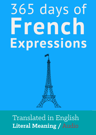# 365 days of French Expressions



## Translated in English **Literal Meaning /** Audio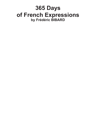### **365 Days of French Expressions by Frédéric BIBARD**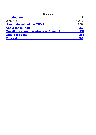**Contents**

| <b>Introduction:</b>                                        |            |
|-------------------------------------------------------------|------------|
| <b>Week1-52</b>                                             | $5 - 255$  |
| <b>How to download the MP3?</b><br><b>About the author:</b> | 256<br>257 |
|                                                             |            |
| <b>Others E-books:</b>                                      | 258        |
| <b>Podcast</b>                                              | 264        |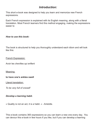#### *Introduction:*

This short e-book was designed to help you learn and memorize new French expressions.

Each French expression is explained with its English meaning, along with a literal translation. Most French learners find this method engaging, making the expressions easier to

#### *How to use this book:*

The book is structured to help you thoroughly understand each idiom and will look like this:

#### French Expression:

Avoir les chevilles qui enflent

Meaning:

**to have one's ankles swell**

Literal translation:

*To be very full of oneself*

#### *Develop a learning habit.*

« Quality is not an act, it is a habit. » - Aristotle.

This e-book contains 365 expressions so you can learn a new one every day. You can devour this e-book in few hours if you like, but if you can develop a learning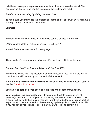habit by reviewing one expression per day it may be much more beneficial. This book can be the first step needed to create a lasting learning habit.

#### *Reinforce your learning by doing the exercises:*

To make sure you memorise the expression, at the end of each week you will have a short quiz based on what you've learned.

#### **Example**

1/ Explain this French expression « conduire comme un pied » in English.

2/ Can you translate « That's another story » in French?

You will find the answer in the following page.

These kinds of exercises are much more effective than multiple choice tests.

#### *Bonus - Practice Your Pronunciation with the free MP3s:*

You can download the MP3 recordings of the expressions. You will find the link to download the MP3 recordings **at the end of this e-book.**

**An audio clip for the French expression i**s also offered with this e-book: Learn On the Go. Duration 23 minutes.

You can read each sentence out loud to practice and perfect pronunciation.

**Your feedback is important to me:** Please do not hesitate to contact me at frederic@talkinfrench.com. If you find something that needs to be improved in this e-book, I will pay attention to your request. I want this to be the best French book of expressions in the market so I will be constantly updating this to make it better. Also, if you happen to visit France (Paris, in particular), feel free to contact me.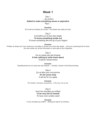#### **Week 1**

#### Day 1

... de cochon

**Added to make something worse or pejorative**

*Pig's ...*

*Example: Et il avait une haleine de cochon.- His breath was really too bad.*

Day 2

Connaître sur le bout des doigts

#### **To know something inside out**

*To know something like the tip of your fingers*

*Example:*

*Profitez du temps qu'il vous reste pour connaître la course sur le bout des doigts. - Use your remaining time to know the race inside out; all the information is here right at your fingertips!*

Day 3

Ça ne casse pas des briques **It has nothing to write home about** *It doesn't break bricks*

*Example: Graphiquement ça ne casse pas des briques. – Visually, it doesn't look that promising.*

> Day 4 Ça va être pour ma pomme **It's for yours truly** *It will be for my apple*

*Example: S'il s'enfuit, c'est pour ma pomme. - If he runs, it's on me.*

> Day 5 Avoir les chevilles qui enflent **To be very full of oneself** *To have one's ankles swell*

*Example: Il a les chevilles qui enflent. - Getting too big for his britches.*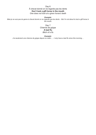#### Day 6 À cheval donné on ne regarde pas les dents **Don't look a gift horse in the mouth**

*One does not look at a given horse's teeth*

*Example:*

*Mais je ne suis pas du genre à cheval donné on ne regarde pas les dents. - But I'm not about to look a gift horse in the mouth.*

> Day 7 Chienne de grippe **A bad flu**  *Bitch of a flu*

> > *Example:*

*J'ai seulement une chienne de grippe depuis ce matin… - I only have a bad flu since this morning…*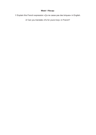#### **Week 1 Recap:**

1/ Explain this French expression «Ça ne casse pas des briques» in English.

2/ Can you translate «It's for yours truly» in French?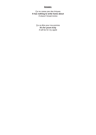#### **Answer:**

Ça ne casse pas des briques **It has nothing to write home about** *It doesn't break bricks*

> Ça va être pour ma pomme **It's for yours truly** *It will be for my apple*